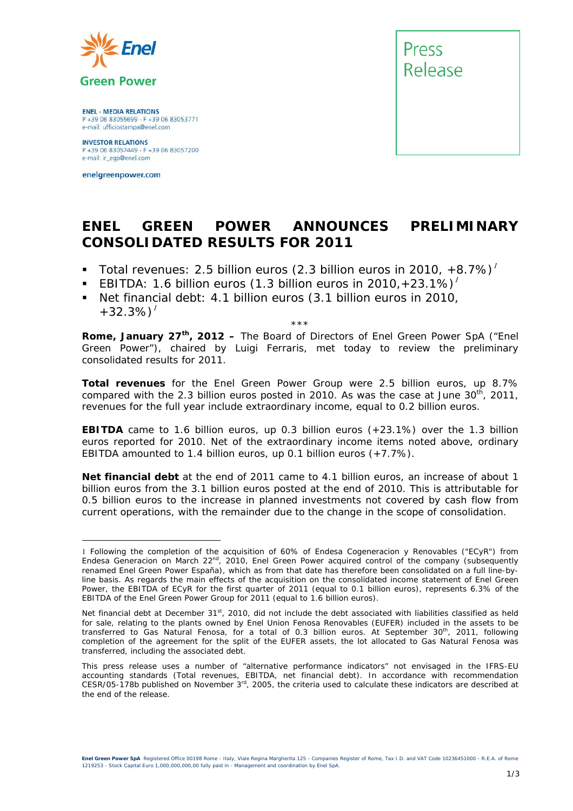

**ENEL - MEDIA RELATIONS** P +39 06 83055699 - F +39 06 83053771 e-mail: ufficiostampa@enel.com

**INVESTOR RELATIONS**<br>P +39 06 83057449 - F +39 06 83057200 e-mail: ir\_egp@enel.com

enelgreenpower.com



# **ENEL GREEN POWER ANNOUNCES PRELIMINARY CONSOLIDATED RESULTS FOR 2011**

- *Total revenues: 2.5 billion euros (2.3 billion euros in 2010, +8.7%)*
- *EBITDA: 1.6 billion euros (1.3 billion euros in 2010,+23.1%)*
- *Net financial debt: 4.1 billion euros (3.1 billion euros in 2010, +32.3%)*

\*\*\*

**Rome, January 27th, 2012 –** The Board of Directors of Enel Green Power SpA ("Enel Green Power"), chaired by Luigi Ferraris, met today to review the preliminary consolidated results for 2011.

**Total revenues** for the Enel Green Power Group were 2.5 billion euros, up 8.7% compared with the 2.3 billion euros posted in 2010. As was the case at June  $30<sup>th</sup>$ , 2011, revenues for the full year include extraordinary income, equal to 0.2 billion euros.

**EBITDA** came to 1.6 billion euros, up 0.3 billion euros (+23.1%) over the 1.3 billion euros reported for 2010. Net of the extraordinary income items noted above, ordinary EBITDA amounted to 1.4 billion euros, up 0.1 billion euros (+7.7%).

**Net financial debt** at the end of 2011 came to 4.1 billion euros, an increase of about 1 billion euros from the 3.1 billion euros posted at the end of 2010. This is attributable for 0.5 billion euros to the increase in planned investments not covered by cash flow from current operations, with the remainder due to the change in the scope of consolidation.

Following the completion of the acquisition of 60% of Endesa Cogeneracion y Renovables ("ECyR") from Endesa Generacion on March 22<sup>nd</sup>, 2010, Enel Green Power acquired control of the company (subsequently renamed Enel Green Power España), which as from that date has therefore been consolidated on a full line-byline basis. As regards the main effects of the acquisition on the consolidated income statement of Enel Green Power, the EBITDA of ECyR for the first quarter of 2011 (equal to 0.1 billion euros), represents 6.3% of the EBITDA of the Enel Green Power Group for 2011 (equal to 1.6 billion euros).

Net financial debt at December 31<sup>st</sup>, 2010, did not include the debt associated with liabilities classified as held for sale, relating to the plants owned by Enel Union Fenosa Renovables (EUFER) included in the assets to be transferred to Gas Natural Fenosa, for a total of 0.3 billion euros. At September 30<sup>th</sup>, 2011, following completion of the agreement for the split of the EUFER assets, the lot allocated to Gas Natural Fenosa was transferred, including the associated debt.

This press release uses a number of "alternative performance indicators" not envisaged in the IFRS-EU accounting standards (Total revenues, EBITDA, net financial debt). In accordance with recommendation CESR/05-178b published on November 3rd, 2005, the criteria used to calculate these indicators are described at the end of the release.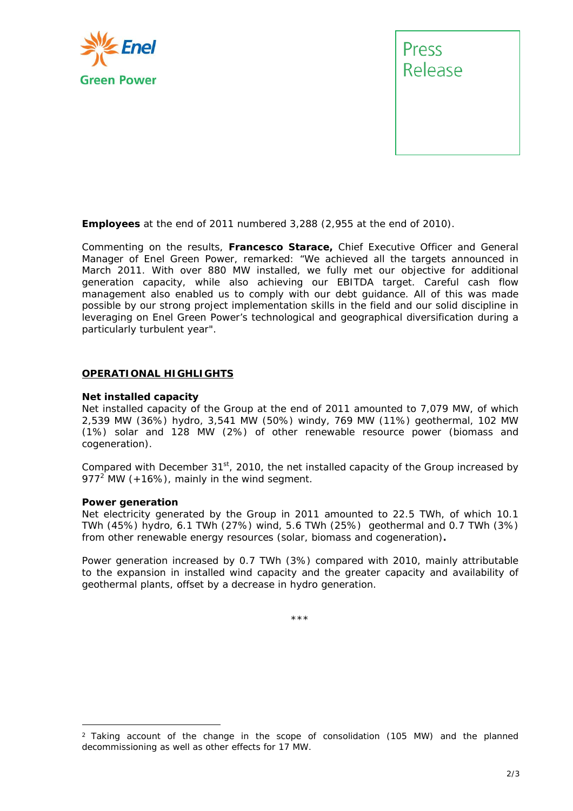

Release

**Employees** at the end of 2011 numbered 3,288 (2,955 at the end of 2010).

Commenting on the results, **Francesco Starace,** Chief Executive Officer and General Manager of Enel Green Power, remarked: *"We achieved all the targets announced in March 2011. With over 880 MW installed, we fully met our objective for additional generation capacity, while also achieving our EBITDA target. Careful cash flow management also enabled us to comply with our debt guidance. All of this was made possible by our strong project implementation skills in the field and our solid discipline in leveraging on Enel Green Power's technological and geographical diversification during a particularly turbulent year".* 

# **OPERATIONAL HIGHLIGHTS**

### **Net installed capacity**

Net installed capacity of the Group at the end of 2011 amounted to 7,079 MW, of which 2,539 MW (36%) hydro, 3,541 MW (50%) windy, 769 MW (11%) geothermal, 102 MW (1%) solar and 128 MW (2%) of other renewable resource power (biomass and cogeneration).

Compared with December  $31<sup>st</sup>$ , 2010, the net installed capacity of the Group increased by 977<sup>2</sup> MW (+16%), mainly in the wind segment.

### **Power generation**

Net electricity generated by the Group in 2011 amounted to 22.5 TWh, of which 10.1 TWh (45%) hydro, 6.1 TWh (27%) wind, 5.6 TWh (25%) geothermal and 0.7 TWh (3%) from other renewable energy resources (solar, biomass and cogeneration)**.** 

Power generation increased by 0.7 TWh (3%) compared with 2010, mainly attributable to the expansion in installed wind capacity and the greater capacity and availability of geothermal plants, offset by a decrease in hydro generation.

\*\*\*

 $2$  Taking account of the change in the scope of consolidation (105 MW) and the planned decommissioning as well as other effects for 17 MW.